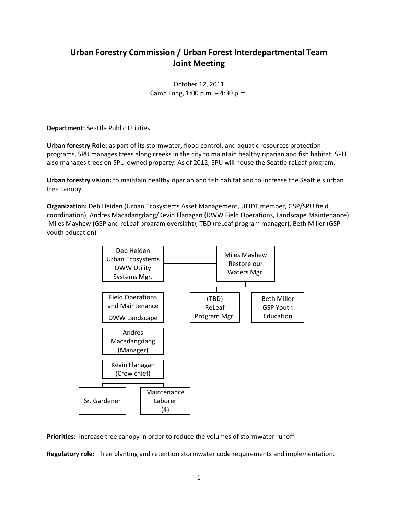## **Urban Forestry Commission / Urban Forest Interdepartmental Team Joint Meeting**

October 12, 2011 Camp Long, 1:00 p.m. – 4:30 p.m.

**Department:** Seattle Public Utilities

**Urban forestry Role:** as part of its stormwater, flood control, and aquatic resources protection programs, SPU manages trees along creeks in the city to maintain healthy riparian and fish habitat. SPU also manages trees on SPU-owned property. As of 2012, SPU will house the Seattle reLeaf program.

**Urban forestry vision:** to maintain healthy riparian and fish habitat and to increase the Seattle's urban tree canopy.

**Organization:** Deb Heiden (Urban Ecosystems Asset Management, UFIDT member, GSP/SPU field coordination), Andres Macadangdang/Kevin Flanagan (DWW Field Operations, Landscape Maintenance) Miles Mayhew (GSP and reLeaf program oversight), TBD (reLeaf program manager), Beth Miller (GSP youth education)



**Priorities:** Increase tree canopy in order to reduce the volumes of stormwater runoff.

**Regulatory role:** Tree planting and retention stormwater code requirements and implementation.